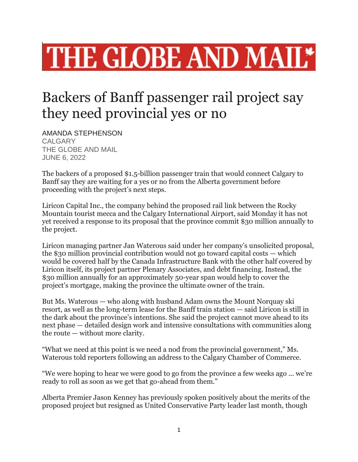## THE GLOBE AND MAIL\*

## Backers of Banff passenger rail project say they need provincial yes or no

AMANDA STEPHENSON CALGARY THE GLOBE AND MAIL JUNE 6, 2022

The backers of a proposed \$1.5-billion passenger train that would connect Calgary to Banff say they are waiting for a yes or no from the Alberta government before proceeding with the project's next steps.

Liricon Capital Inc., the company behind the proposed rail link between the Rocky Mountain tourist mecca and the Calgary International Airport, said Monday it has not yet received a response to its proposal that the province commit \$30 million annually to the project.

Liricon managing partner Jan Waterous said under her company's unsolicited proposal, the \$30 million provincial contribution would not go toward capital costs — which would be covered half by the Canada Infrastructure Bank with the other half covered by Liricon itself, its project partner Plenary Associates, and debt financing. Instead, the \$30 million annually for an approximately 50-year span would help to cover the project's mortgage, making the province the ultimate owner of the train.

But Ms. Waterous — who along with husband Adam owns the Mount Norquay ski resort, as well as the long-term lease for the Banff train station — said Liricon is still in the dark about the province's intentions. She said the project cannot move ahead to its next phase — detailed design work and intensive consultations with communities along the route — without more clarity.

"What we need at this point is we need a nod from the provincial government," Ms. Waterous told reporters following an address to the Calgary Chamber of Commerce.

"We were hoping to hear we were good to go from the province a few weeks ago ... we're ready to roll as soon as we get that go-ahead from them."

Alberta Premier Jason Kenney has previously spoken positively about the merits of the proposed project but resigned as United Conservative Party leader last month, though